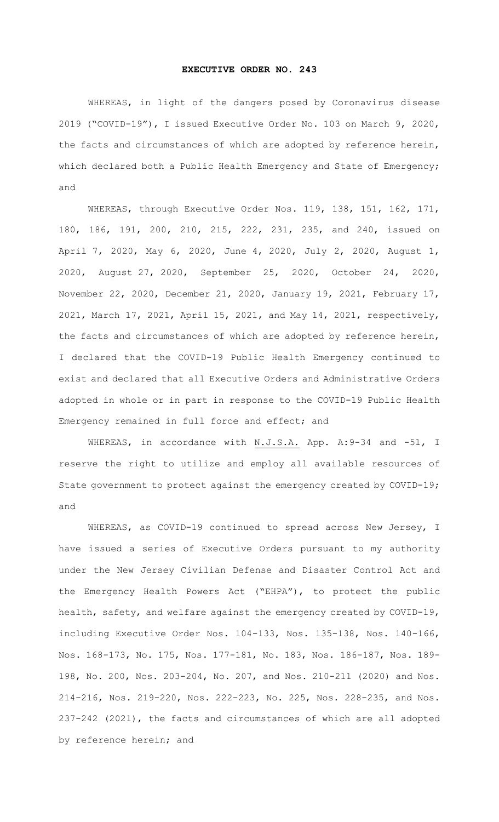## **EXECUTIVE ORDER NO. 243**

WHEREAS, in light of the dangers posed by Coronavirus disease 2019 ("COVID-19"), I issued Executive Order No. 103 on March 9, 2020, the facts and circumstances of which are adopted by reference herein, which declared both a Public Health Emergency and State of Emergency; and

WHEREAS, through Executive Order Nos. 119, 138, 151, 162, 171, 180, 186, 191, 200, 210, 215, 222, 231, 235, and 240, issued on April 7, 2020, May 6, 2020, June 4, 2020, July 2, 2020, August 1, 2020, August 27, 2020, September 25, 2020, October 24, 2020, November 22, 2020, December 21, 2020, January 19, 2021, February 17, 2021, March 17, 2021, April 15, 2021, and May 14, 2021, respectively, the facts and circumstances of which are adopted by reference herein, I declared that the COVID-19 Public Health Emergency continued to exist and declared that all Executive Orders and Administrative Orders adopted in whole or in part in response to the COVID-19 Public Health Emergency remained in full force and effect; and

WHEREAS, in accordance with N.J.S.A. App. A:9-34 and -51, I reserve the right to utilize and employ all available resources of State government to protect against the emergency created by COVID-19; and

WHEREAS, as COVID-19 continued to spread across New Jersey, I have issued a series of Executive Orders pursuant to my authority under the New Jersey Civilian Defense and Disaster Control Act and the Emergency Health Powers Act ("EHPA"), to protect the public health, safety, and welfare against the emergency created by COVID-19, including Executive Order Nos. 104-133, Nos. 135-138, Nos. 140-166, Nos. 168-173, No. 175, Nos. 177-181, No. 183, Nos. 186-187, Nos. 189- 198, No. 200, Nos. 203-204, No. 207, and Nos. 210-211 (2020) and Nos. 214-216, Nos. 219-220, Nos. 222-223, No. 225, Nos. 228-235, and Nos. 237-242 (2021), the facts and circumstances of which are all adopted by reference herein; and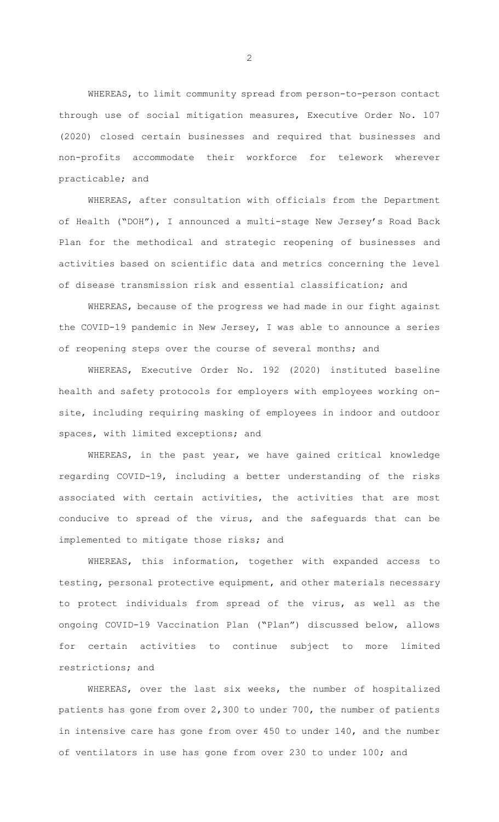WHEREAS, to limit community spread from person-to-person contact through use of social mitigation measures, Executive Order No. 107 (2020) closed certain businesses and required that businesses and non-profits accommodate their workforce for telework wherever practicable; and

WHEREAS, after consultation with officials from the Department of Health ("DOH"), I announced a multi-stage New Jersey's Road Back Plan for the methodical and strategic reopening of businesses and activities based on scientific data and metrics concerning the level of disease transmission risk and essential classification; and

WHEREAS, because of the progress we had made in our fight against the COVID-19 pandemic in New Jersey, I was able to announce a series of reopening steps over the course of several months; and

WHEREAS, Executive Order No. 192 (2020) instituted baseline health and safety protocols for employers with employees working onsite, including requiring masking of employees in indoor and outdoor spaces, with limited exceptions; and

WHEREAS, in the past year, we have gained critical knowledge regarding COVID-19, including a better understanding of the risks associated with certain activities, the activities that are most conducive to spread of the virus, and the safeguards that can be implemented to mitigate those risks; and

WHEREAS, this information, together with expanded access to testing, personal protective equipment, and other materials necessary to protect individuals from spread of the virus, as well as the ongoing COVID-19 Vaccination Plan ("Plan") discussed below, allows for certain activities to continue subject to more limited restrictions; and

WHEREAS, over the last six weeks, the number of hospitalized patients has gone from over 2,300 to under 700, the number of patients in intensive care has gone from over 450 to under 140, and the number of ventilators in use has gone from over 230 to under 100; and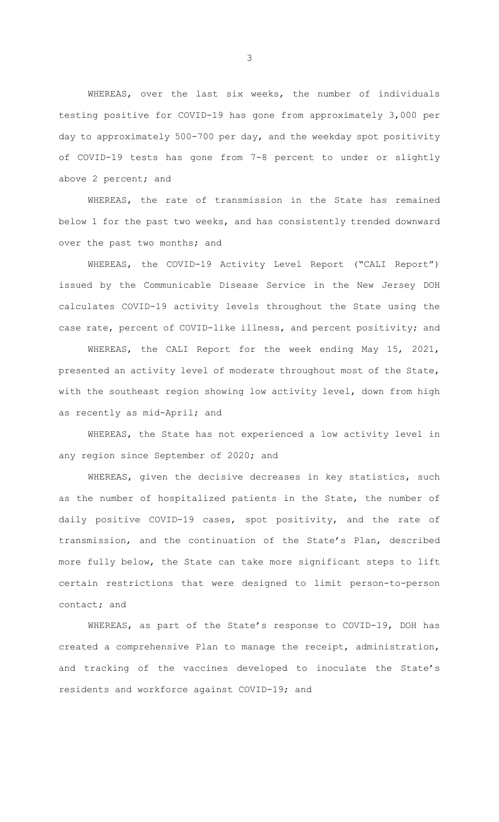WHEREAS, over the last six weeks, the number of individuals testing positive for COVID-19 has gone from approximately 3,000 per day to approximately 500-700 per day, and the weekday spot positivity of COVID-19 tests has gone from 7-8 percent to under or slightly above 2 percent; and

WHEREAS, the rate of transmission in the State has remained below 1 for the past two weeks, and has consistently trended downward over the past two months; and

WHEREAS, the COVID-19 Activity Level Report ("CALI Report") issued by the Communicable Disease Service in the New Jersey DOH calculates COVID-19 activity levels throughout the State using the case rate, percent of COVID-like illness, and percent positivity; and

WHEREAS, the CALI Report for the week ending May 15, 2021, presented an activity level of moderate throughout most of the State, with the southeast region showing low activity level, down from high as recently as mid-April; and

WHEREAS, the State has not experienced a low activity level in any region since September of 2020; and

WHEREAS, given the decisive decreases in key statistics, such as the number of hospitalized patients in the State, the number of daily positive COVID-19 cases, spot positivity, and the rate of transmission, and the continuation of the State's Plan, described more fully below, the State can take more significant steps to lift certain restrictions that were designed to limit person-to-person contact; and

WHEREAS, as part of the State's response to COVID-19, DOH has created a comprehensive Plan to manage the receipt, administration, and tracking of the vaccines developed to inoculate the State's residents and workforce against COVID-19; and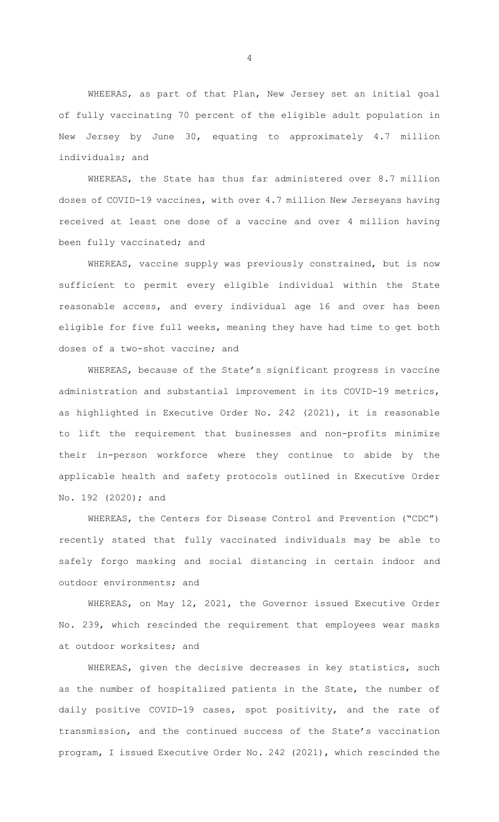WHEERAS, as part of that Plan, New Jersey set an initial goal of fully vaccinating 70 percent of the eligible adult population in New Jersey by June 30, equating to approximately 4.7 million individuals; and

WHEREAS, the State has thus far administered over 8.7 million doses of COVID-19 vaccines, with over 4.7 million New Jerseyans having received at least one dose of a vaccine and over 4 million having been fully vaccinated; and

WHEREAS, vaccine supply was previously constrained, but is now sufficient to permit every eligible individual within the State reasonable access, and every individual age 16 and over has been eligible for five full weeks, meaning they have had time to get both doses of a two-shot vaccine; and

WHEREAS, because of the State's significant progress in vaccine administration and substantial improvement in its COVID-19 metrics, as highlighted in Executive Order No. 242 (2021), it is reasonable to lift the requirement that businesses and non-profits minimize their in-person workforce where they continue to abide by the applicable health and safety protocols outlined in Executive Order No. 192 (2020); and

WHEREAS, the Centers for Disease Control and Prevention ("CDC") recently stated that fully vaccinated individuals may be able to safely forgo masking and social distancing in certain indoor and outdoor environments; and

WHEREAS, on May 12, 2021, the Governor issued Executive Order No. 239, which rescinded the requirement that employees wear masks at outdoor worksites; and

WHEREAS, given the decisive decreases in key statistics, such as the number of hospitalized patients in the State, the number of daily positive COVID-19 cases, spot positivity, and the rate of transmission, and the continued success of the State's vaccination program, I issued Executive Order No. 242 (2021), which rescinded the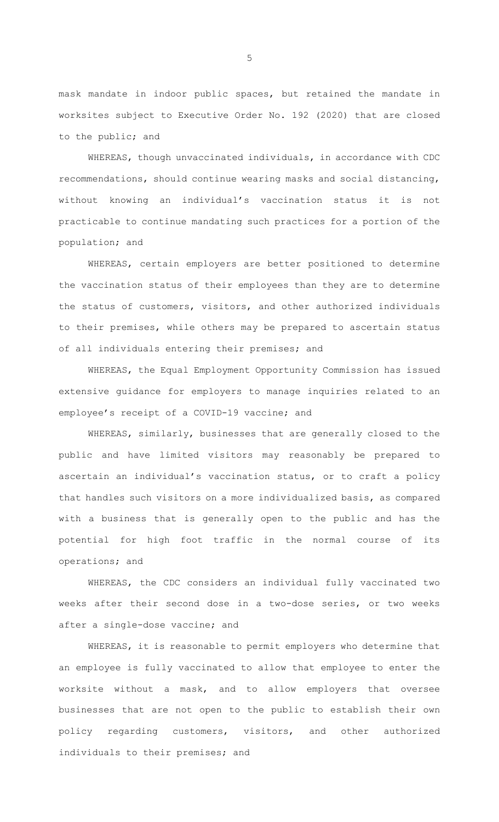mask mandate in indoor public spaces, but retained the mandate in worksites subject to Executive Order No. 192 (2020) that are closed to the public; and

WHEREAS, though unvaccinated individuals, in accordance with CDC recommendations, should continue wearing masks and social distancing, without knowing an individual's vaccination status it is not practicable to continue mandating such practices for a portion of the population; and

WHEREAS, certain employers are better positioned to determine the vaccination status of their employees than they are to determine the status of customers, visitors, and other authorized individuals to their premises, while others may be prepared to ascertain status of all individuals entering their premises; and

WHEREAS, the Equal Employment Opportunity Commission has issued extensive guidance for employers to manage inquiries related to an employee's receipt of a COVID-19 vaccine; and

WHEREAS, similarly, businesses that are generally closed to the public and have limited visitors may reasonably be prepared to ascertain an individual's vaccination status, or to craft a policy that handles such visitors on a more individualized basis, as compared with a business that is generally open to the public and has the potential for high foot traffic in the normal course of its operations; and

WHEREAS, the CDC considers an individual fully vaccinated two weeks after their second dose in a two-dose series, or two weeks after a single-dose vaccine; and

WHEREAS, it is reasonable to permit employers who determine that an employee is fully vaccinated to allow that employee to enter the worksite without a mask, and to allow employers that oversee businesses that are not open to the public to establish their own policy regarding customers, visitors, and other authorized individuals to their premises; and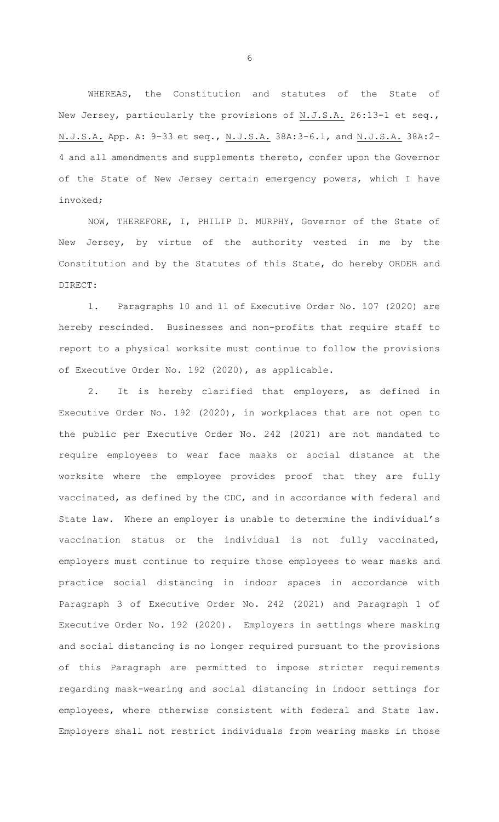WHEREAS, the Constitution and statutes of the State of New Jersey, particularly the provisions of N.J.S.A. 26:13-1 et seq., N.J.S.A. App. A: 9-33 et seq., N.J.S.A. 38A:3-6.1, and N.J.S.A. 38A:2- 4 and all amendments and supplements thereto, confer upon the Governor of the State of New Jersey certain emergency powers, which I have invoked;

NOW, THEREFORE, I, PHILIP D. MURPHY, Governor of the State of New Jersey, by virtue of the authority vested in me by the Constitution and by the Statutes of this State, do hereby ORDER and DIRECT:

1. Paragraphs 10 and 11 of Executive Order No. 107 (2020) are hereby rescinded. Businesses and non-profits that require staff to report to a physical worksite must continue to follow the provisions of Executive Order No. 192 (2020), as applicable.

2. It is hereby clarified that employers, as defined in Executive Order No. 192 (2020), in workplaces that are not open to the public per Executive Order No. 242 (2021) are not mandated to require employees to wear face masks or social distance at the worksite where the employee provides proof that they are fully vaccinated, as defined by the CDC, and in accordance with federal and State law. Where an employer is unable to determine the individual's vaccination status or the individual is not fully vaccinated, employers must continue to require those employees to wear masks and practice social distancing in indoor spaces in accordance with Paragraph 3 of Executive Order No. 242 (2021) and Paragraph 1 of Executive Order No. 192 (2020). Employers in settings where masking and social distancing is no longer required pursuant to the provisions of this Paragraph are permitted to impose stricter requirements regarding mask-wearing and social distancing in indoor settings for employees, where otherwise consistent with federal and State law. Employers shall not restrict individuals from wearing masks in those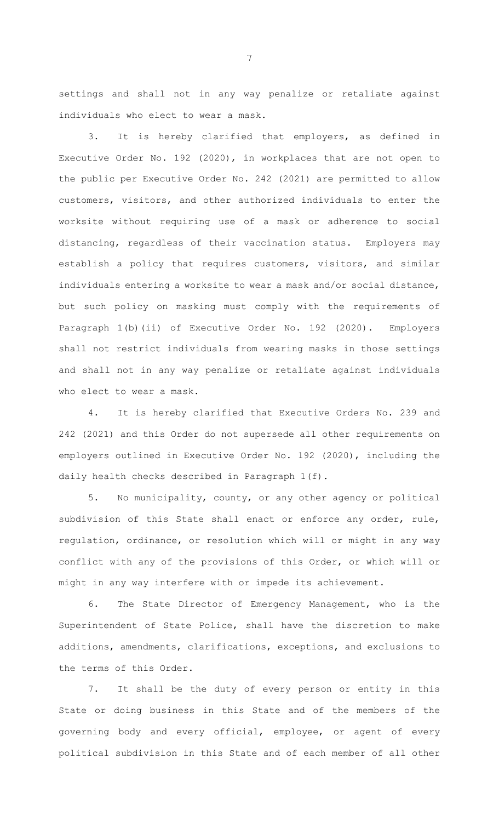settings and shall not in any way penalize or retaliate against individuals who elect to wear a mask.

3. It is hereby clarified that employers, as defined in Executive Order No. 192 (2020), in workplaces that are not open to the public per Executive Order No. 242 (2021) are permitted to allow customers, visitors, and other authorized individuals to enter the worksite without requiring use of a mask or adherence to social distancing, regardless of their vaccination status. Employers may establish a policy that requires customers, visitors, and similar individuals entering a worksite to wear a mask and/or social distance, but such policy on masking must comply with the requirements of Paragraph 1(b)(ii) of Executive Order No. 192 (2020). Employers shall not restrict individuals from wearing masks in those settings and shall not in any way penalize or retaliate against individuals who elect to wear a mask.

4. It is hereby clarified that Executive Orders No. 239 and 242 (2021) and this Order do not supersede all other requirements on employers outlined in Executive Order No. 192 (2020), including the daily health checks described in Paragraph 1(f).

5. No municipality, county, or any other agency or political subdivision of this State shall enact or enforce any order, rule, regulation, ordinance, or resolution which will or might in any way conflict with any of the provisions of this Order, or which will or might in any way interfere with or impede its achievement.

6. The State Director of Emergency Management, who is the Superintendent of State Police, shall have the discretion to make additions, amendments, clarifications, exceptions, and exclusions to the terms of this Order.

7. It shall be the duty of every person or entity in this State or doing business in this State and of the members of the governing body and every official, employee, or agent of every political subdivision in this State and of each member of all other